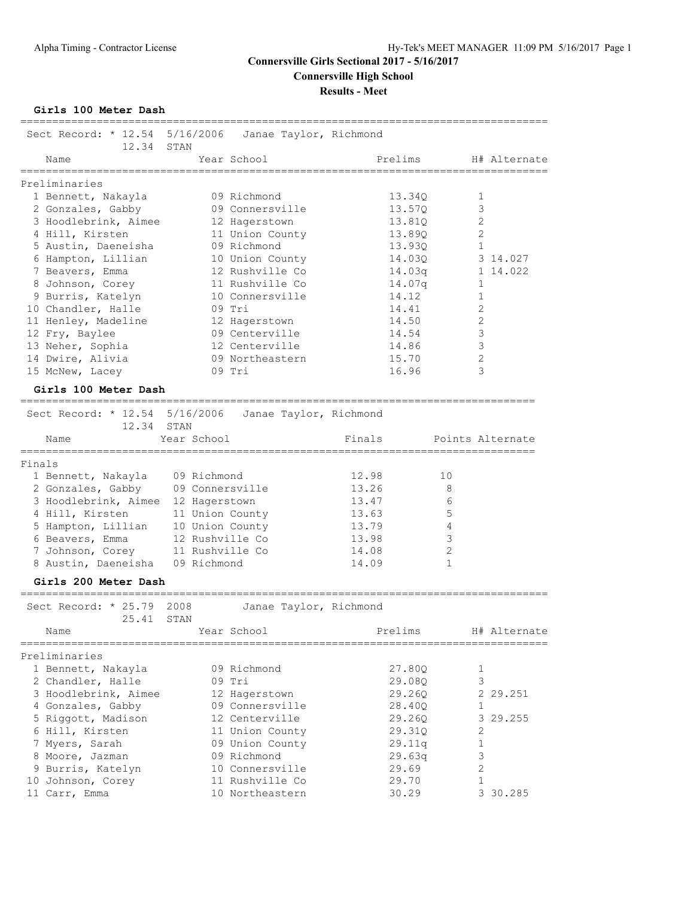**Girls 100 Meter Dash**

|        | Sect Record: $* 12.54 5/16/2006$<br>12.34 | STAN            | Janae Taylor, Richmond |        |                    |                |                  |
|--------|-------------------------------------------|-----------------|------------------------|--------|--------------------|----------------|------------------|
|        | Name                                      |                 | Year School            |        | Prelims            |                | H# Alternate     |
|        | Preliminaries                             |                 |                        |        |                    |                |                  |
|        | 1 Bennett, Nakayla                        |                 | 09 Richmond            |        | 13.34Q             | 1              |                  |
|        | 2 Gonzales, Gabby                         |                 | 09 Connersville        |        | 13.57Q             | 3              |                  |
|        | 3 Hoodlebrink, Aimee                      |                 | 12 Hagerstown          |        | 13.81Q             | $\mathbf{2}$   |                  |
|        | 4 Hill, Kirsten                           |                 | 11 Union County        |        | 13.890             | 2              |                  |
|        | 5 Austin, Daeneisha                       |                 | 09 Richmond            |        | 13.93Q             | 1              |                  |
|        | 6 Hampton, Lillian                        |                 | 10 Union County        |        | 14.03Q             |                | 3 14.027         |
|        | 7 Beavers, Emma                           |                 | 12 Rushville Co        |        | 14.03 <sub>q</sub> |                | 1 14.022         |
|        |                                           |                 | 11 Rushville Co        |        |                    | 1              |                  |
|        | 8 Johnson, Corey                          |                 | 10 Connersville        |        | 14.07q<br>14.12    | 1              |                  |
|        | 9 Burris, Katelyn                         |                 |                        |        |                    |                |                  |
|        | 10 Chandler, Halle                        |                 | 09 Tri                 |        | 14.41              | 2              |                  |
|        | 11 Henley, Madeline                       |                 | 12 Hagerstown          |        | 14.50              | 2              |                  |
|        | 12 Fry, Baylee                            |                 | 09 Centerville         |        | 14.54              | 3              |                  |
|        | 13 Neher, Sophia                          |                 | 12 Centerville         |        | 14.86              | 3              |                  |
|        | 14 Dwire, Alivia                          |                 | 09 Northeastern        |        | 15.70              | 2              |                  |
|        | 15 McNew, Lacey                           |                 | 09 Tri                 |        | 16.96              | 3              |                  |
|        | Girls 100 Meter Dash                      |                 |                        |        |                    |                |                  |
|        | Sect Record: * 12.54 5/16/2006            |                 | Janae Taylor, Richmond |        |                    |                |                  |
|        | 12.34                                     | STAN            |                        |        |                    |                |                  |
|        | Name<br>==========                        | Year School     |                        | Finals |                    |                | Points Alternate |
| Finals |                                           |                 |                        |        |                    |                |                  |
|        | 1 Bennett, Nakayla                        | 09 Richmond     |                        | 12.98  | 10                 |                |                  |
|        | 2 Gonzales, Gabby                         | 09 Connersville |                        | 13.26  | 8                  |                |                  |
|        | 3 Hoodlebrink, Aimee 12 Hagerstown        |                 |                        | 13.47  | 6                  |                |                  |
|        | 4 Hill, Kirsten                           | 11 Union County |                        | 13.63  | 5                  |                |                  |
|        | 5 Hampton, Lillian                        | 10 Union County |                        | 13.79  | 4                  |                |                  |
|        | 6 Beavers, Emma                           | 12 Rushville Co |                        | 13.98  | 3                  |                |                  |
|        | 7 Johnson, Corey                          | 11 Rushville Co |                        | 14.08  | 2                  |                |                  |
|        | 8 Austin, Daeneisha 09 Richmond           |                 |                        | 14.09  | 1                  |                |                  |
|        |                                           |                 |                        |        |                    |                |                  |
|        | Girls 200 Meter Dash                      |                 |                        |        |                    |                |                  |
|        | Sect Record: * 25.79                      | 2008            | Janae Taylor, Richmond |        |                    |                |                  |
|        | 25.41                                     | STAN            |                        |        |                    |                |                  |
|        | Name                                      |                 | Year School            |        | Prelims            |                | H# Alternate     |
|        | Preliminaries                             |                 |                        |        |                    |                |                  |
|        | 1 Bennett, Nakayla                        |                 | 09 Richmond            |        | 27.80Q             | 1              |                  |
|        | 2 Chandler, Halle                         |                 | 09 Tri                 |        | 29.08Q             | 3              |                  |
|        | 3 Hoodlebrink, Aimee                      |                 | 12 Hagerstown          |        | 29.260             |                | 2 29.251         |
|        | 4 Gonzales, Gabby                         |                 | 09 Connersville        |        | 28.40Q             | 1              |                  |
|        | 5 Riggott, Madison                        |                 | 12 Centerville         |        | 29.26Q             |                | 3 29.255         |
|        | 6 Hill, Kirsten                           |                 | 11 Union County        |        | 29.31Q             | 2              |                  |
|        | 7 Myers, Sarah                            |                 | 09 Union County        |        | 29.11q             | 1              |                  |
|        | 8 Moore, Jazman                           |                 | 09 Richmond            |        | 29.63q             | 3              |                  |
|        | 9 Burris, Katelyn                         |                 | 10 Connersville        |        | 29.69              | $\overline{2}$ |                  |
|        | 10 Johnson, Corey                         |                 | 11 Rushville Co        |        | 29.70              | 1              |                  |
|        | 11 Carr, Emma                             |                 | 10 Northeastern        |        | 30.29              |                | 3 30.285         |
|        |                                           |                 |                        |        |                    |                |                  |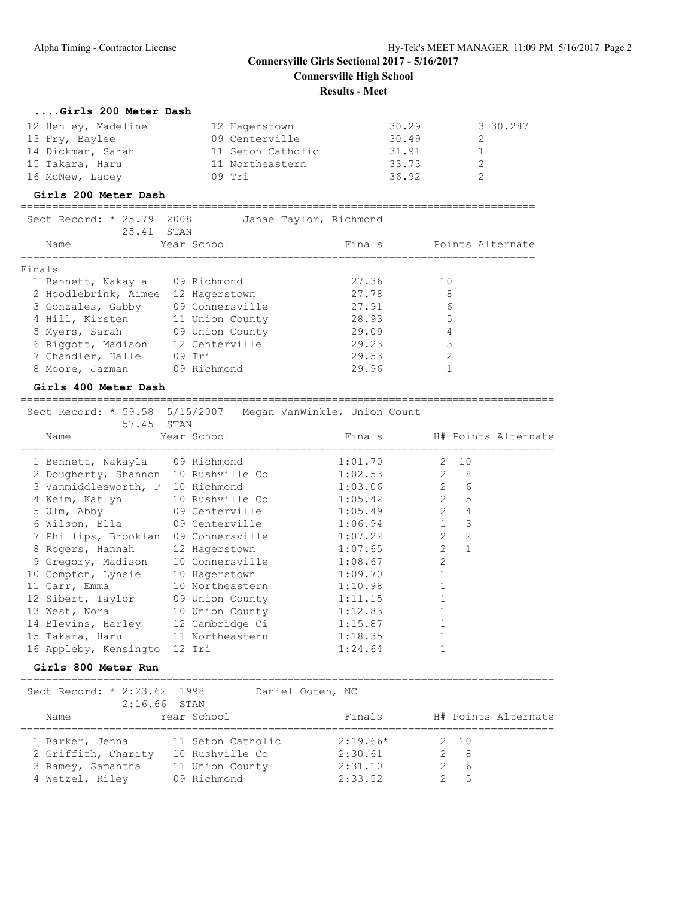#### **....Girls 200 Meter Dash**

| 12 Henley, Madeline | 12 Hagerstown     | 30.29 | 3 30.287 |
|---------------------|-------------------|-------|----------|
| 13 Fry, Baylee      | 09 Centerville    | 30.49 |          |
| 14 Dickman, Sarah   | 11 Seton Catholic | 31.91 |          |
| 15 Takara, Haru     | 11 Northeastern   | 33.73 |          |
| 16 McNew, Lacey     | $09$ Tri          | 36.92 |          |

#### **Girls 200 Meter Dash**

================================================================================= Sect Record: \* 25.79 2008 Janae Taylor, Richmond

| RATULL TIPLES<br>Name | 000 - 200 - 200<br>25.41 | STAN<br>Year School | vanac rayror, Richmond<br>Finals | Points Alternate |  |
|-----------------------|--------------------------|---------------------|----------------------------------|------------------|--|
| Finals                |                          |                     |                                  |                  |  |
| 1 Bennett, Nakayla    |                          | 09 Richmond         | 27.36                            | 10               |  |
| 2 Hoodlebrink, Aimee  |                          | 12 Hagerstown       | 27.78                            | 8                |  |
| 3 Gonzales, Gabby     |                          | 09 Connersville     | 27.91                            | 6                |  |
| 4 Hill, Kirsten       |                          | 11 Union County     | 28.93                            | 5                |  |
| 5 Myers, Sarah        |                          | 09 Union County     | 29.09                            | 4                |  |
| 6 Riggott, Madison    |                          | 12 Centerville      | 29.23                            | 3                |  |
| 7 Chandler, Halle     |                          | 09 Tri              | 29.53                            | 2                |  |
| 8 Moore, Jazman       |                          | 09 Richmond         | 29.96                            |                  |  |
|                       |                          |                     |                                  |                  |  |

#### **Girls 400 Meter Dash**

====================================================================================

 Sect Record: \* 59.58 5/15/2007 Megan VanWinkle, Union Count 57.45 STAN

| Name            |                                      | Year School     | Finals  |                |              | H# Points Alternate |
|-----------------|--------------------------------------|-----------------|---------|----------------|--------------|---------------------|
|                 | 1 Bennett, Nakayla 09 Richmond       |                 | 1:01.70 | 2              | 10           |                     |
|                 | 2 Dougherty, Shannon 10 Rushville Co |                 | 1:02.53 | $\mathcal{L}$  | 8            |                     |
|                 | 3 Vanmiddlesworth, P 10 Richmond     |                 | 1:03.06 | $\overline{2}$ | 6            |                     |
|                 | 4 Keim, Katlyn                       | 10 Rushville Co | 1:05.42 | $\overline{2}$ | 5            |                     |
| 5 Ulm, Abby     |                                      | 09 Centerville  | 1:05.49 | $\mathcal{L}$  | 4            |                     |
|                 | 6 Wilson, Ella                       | 09 Centerville  | 1:06.94 | $\mathbf{1}$   | 3            |                     |
|                 | 7 Phillips, Brooklan                 | 09 Connersville | 1:07.22 | $\mathcal{L}$  | 2            |                     |
|                 | 8 Rogers, Hannah                     | 12 Hagerstown   | 1:07.65 | $\mathcal{L}$  | $\mathbf{1}$ |                     |
|                 | 9 Gregory, Madison                   | 10 Connersville | 1:08.67 | $\overline{2}$ |              |                     |
|                 | 10 Compton, Lynsie                   | 10 Hagerstown   | 1:09.70 |                |              |                     |
| 11 Carr, Emma   |                                      | 10 Northeastern | 1:10.98 |                |              |                     |
|                 | 12 Sibert, Taylor 09 Union County    |                 | 1:11.15 |                |              |                     |
| 13 West, Nora   |                                      | 10 Union County | 1:12.83 |                |              |                     |
|                 | 14 Blevins, Harley 12 Cambridge Ci   |                 | 1:15.87 |                |              |                     |
| 15 Takara, Haru |                                      | 11 Northeastern | 1:18.35 |                |              |                     |
|                 | 16 Appleby, Kensingto                | 12 Tri          | 1:24.64 |                |              |                     |

#### **Girls 800 Meter Run**

====================================================================================

| Sect Record: * 2:23.62 1998                                                    | $2:16.66$ STAN                                                         | Daniel Ooten, NC                            |                                    |
|--------------------------------------------------------------------------------|------------------------------------------------------------------------|---------------------------------------------|------------------------------------|
| Name                                                                           | Year School                                                            | Finals                                      | H# Points Alternate                |
| 1 Barker, Jenna<br>2 Griffith, Charity<br>3 Ramey, Samantha<br>4 Wetzel, Riley | 11 Seton Catholic<br>10 Rushville Co<br>11 Union County<br>09 Richmond | $2:19.66*$<br>2:30.61<br>2:31.10<br>2:33.52 | 2 10<br>- 8<br>$2 \quad 6$<br>$-5$ |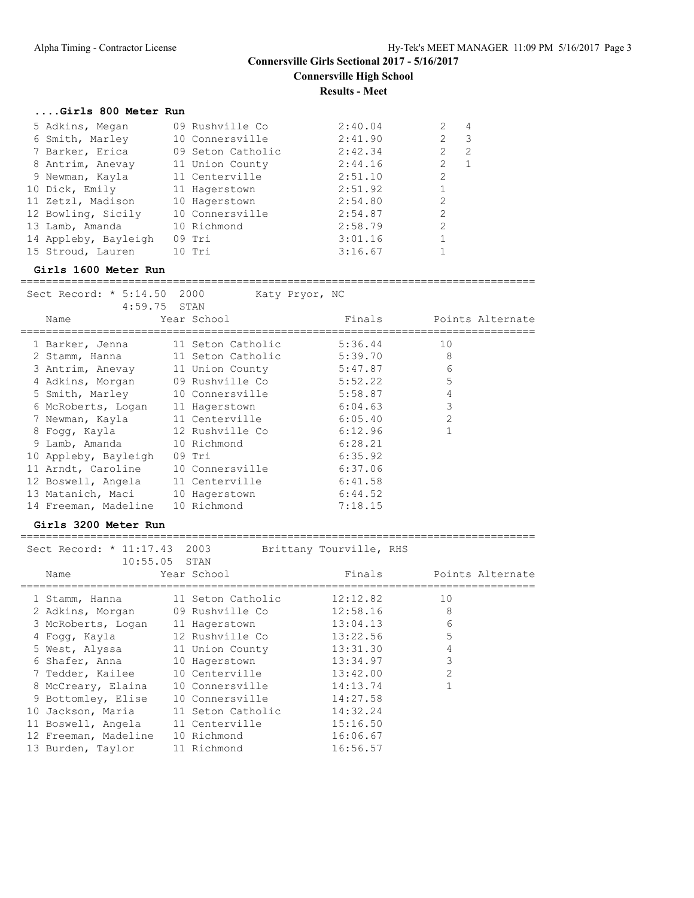#### **....Girls 800 Meter Run**

| 5 Adkins, Megan      | 09 Rushville Co   | 2:40.04 | 4                               |
|----------------------|-------------------|---------|---------------------------------|
| 6 Smith, Marley      | 10 Connersville   | 2:41.90 | $\overline{\phantom{a}}$<br>2   |
| 7 Barker, Erica      | 09 Seton Catholic | 2:42.34 | 2<br>2                          |
| 8 Antrim, Anevay     | 11 Union County   | 2:44.16 | $\mathcal{L}$<br>$\overline{1}$ |
| 9 Newman, Kayla      | 11 Centerville    | 2:51.10 | 2                               |
| 10 Dick, Emily       | 11 Hagerstown     | 2:51.92 |                                 |
| 11 Zetzl, Madison    | 10 Hagerstown     | 2:54.80 | 2                               |
| 12 Bowling, Sicily   | 10 Connersville   | 2:54.87 | 2                               |
| 13 Lamb, Amanda      | 10 Richmond       | 2:58.79 | $\mathcal{L}$                   |
| 14 Appleby, Bayleigh | $09$ Tri          | 3:01.16 |                                 |
| 15 Stroud, Lauren    | $10$ Tri          | 3:16.67 |                                 |

#### **Girls 1600 Meter Run**

================================================================================= Sect Record: \* 5:14.50 2000 Katy Pryor, NC

| 4:59.75 STAN         |                   |         |                  |
|----------------------|-------------------|---------|------------------|
| Name                 | Year School       | Finals  | Points Alternate |
| 1 Barker, Jenna      | 11 Seton Catholic | 5:36.44 | 10               |
| 2 Stamm, Hanna       | 11 Seton Catholic | 5:39.70 | 8                |
| 3 Antrim, Anevay     | 11 Union County   | 5:47.87 | 6                |
| 4 Adkins, Morgan     | 09 Rushville Co   | 5:52.22 | 5                |
| 5 Smith, Marley      | 10 Connersville   | 5:58.87 | 4                |
| 6 McRoberts, Logan   | 11 Hagerstown     | 6:04.63 | 3                |
| 7 Newman, Kayla      | 11 Centerville    | 6:05.40 | $\overline{2}$   |
| 8 Foqq, Kayla        | 12 Rushville Co   | 6:12.96 |                  |
| 9 Lamb, Amanda       | 10 Richmond       | 6:28.21 |                  |
| 10 Appleby, Bayleigh | $09$ Tri          | 6:35.92 |                  |
| 11 Arndt, Caroline   | 10 Connersville   | 6:37.06 |                  |
| 12 Boswell, Angela   | 11 Centerville    | 6:41.58 |                  |
| 13 Matanich, Maci    | 10 Hagerstown     | 6:44.52 |                  |
| 14 Freeman, Madeline | 10 Richmond       | 7:18.15 |                  |

#### **Girls 3200 Meter Run**

| Name | Year School                                                                                                                                                                                                                                                           | Finals                                          | Points Alternate                                                                                                                                                                                                                       |
|------|-----------------------------------------------------------------------------------------------------------------------------------------------------------------------------------------------------------------------------------------------------------------------|-------------------------------------------------|----------------------------------------------------------------------------------------------------------------------------------------------------------------------------------------------------------------------------------------|
|      |                                                                                                                                                                                                                                                                       | 12:12.82                                        | 10                                                                                                                                                                                                                                     |
|      |                                                                                                                                                                                                                                                                       | 12:58.16                                        | 8                                                                                                                                                                                                                                      |
|      |                                                                                                                                                                                                                                                                       | 13:04.13                                        | 6                                                                                                                                                                                                                                      |
|      |                                                                                                                                                                                                                                                                       | 13:22.56                                        | 5                                                                                                                                                                                                                                      |
|      |                                                                                                                                                                                                                                                                       | 13:31.30                                        | 4                                                                                                                                                                                                                                      |
|      |                                                                                                                                                                                                                                                                       | 13:34.97                                        | 3                                                                                                                                                                                                                                      |
|      |                                                                                                                                                                                                                                                                       | 13:42.00                                        | $\mathfrak{D}$                                                                                                                                                                                                                         |
|      |                                                                                                                                                                                                                                                                       | 14:13.74                                        |                                                                                                                                                                                                                                        |
|      |                                                                                                                                                                                                                                                                       | 14:27.58                                        |                                                                                                                                                                                                                                        |
|      |                                                                                                                                                                                                                                                                       | 14:32.24                                        |                                                                                                                                                                                                                                        |
|      |                                                                                                                                                                                                                                                                       | 15:16.50                                        |                                                                                                                                                                                                                                        |
|      | 10 Richmond                                                                                                                                                                                                                                                           | 16:06.67                                        |                                                                                                                                                                                                                                        |
|      | 11 Richmond                                                                                                                                                                                                                                                           | 16:56.57                                        |                                                                                                                                                                                                                                        |
|      | 1 Stamm, Hanna<br>2 Adkins, Morgan<br>3 McRoberts, Logan<br>4 Foqq, Kayla<br>5 West, Alyssa<br>6 Shafer, Anna<br>7 Tedder, Kailee<br>8 McCreary, Elaina<br>9 Bottomley, Elise<br>10 Jackson, Maria<br>11 Boswell, Angela<br>12 Freeman, Madeline<br>13 Burden, Taylor | Sect Record: * 11:17.43 2003<br>$10:55.05$ STAN | Brittany Tourville, RHS<br>11 Seton Catholic<br>09 Rushville Co<br>11 Hagerstown<br>12 Rushville Co<br>11 Union County<br>10 Hagerstown<br>10 Centerville<br>10 Connersville<br>10 Connersville<br>11 Seton Catholic<br>11 Centerville |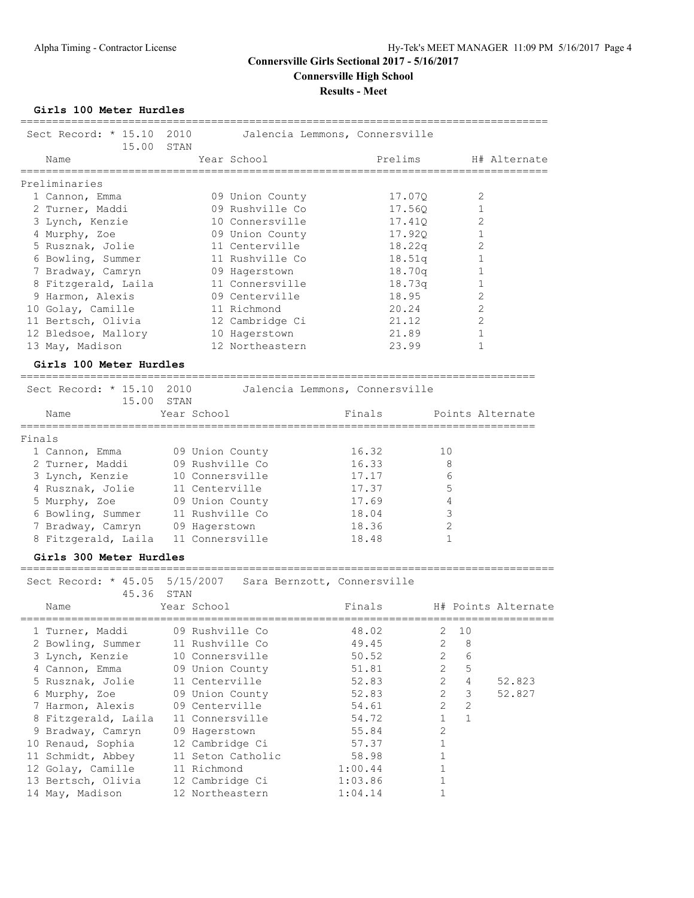**Girls 100 Meter Hurdles**

| =========================<br>Sect Record: $*$ 15.10          | 15.00      | 2010 |                |                 | Jalencia Lemmons, Connersville |        |         |                |                    |              |                     |
|--------------------------------------------------------------|------------|------|----------------|-----------------|--------------------------------|--------|---------|----------------|--------------------|--------------|---------------------|
| Name                                                         |            | STAN |                | Year School     |                                |        | Prelims |                | :================= |              | H# Alternate        |
| Preliminaries                                                |            |      |                |                 |                                |        |         |                |                    |              |                     |
| 1 Cannon, Emma                                               |            |      |                | 09 Union County |                                |        | 17.07Q  |                |                    | 2            |                     |
| 2 Turner, Maddi                                              |            |      |                | 09 Rushville Co |                                |        | 17.56Q  |                |                    | 1            |                     |
| 3 Lynch, Kenzie                                              |            |      |                | 10 Connersville |                                |        | 17.41Q  |                |                    | 2            |                     |
| 4 Murphy, Zoe                                                |            |      |                | 09 Union County |                                |        | 17.920  |                |                    | $\mathbf 1$  |                     |
| 5 Rusznak, Jolie                                             |            |      |                | 11 Centerville  |                                |        | 18.22q  |                |                    | 2            |                     |
| 6 Bowling, Summer                                            |            |      |                | 11 Rushville Co |                                |        | 18.51q  |                |                    | 1            |                     |
| 7 Bradway, Camryn                                            |            |      |                | 09 Hagerstown   |                                |        | 18.70q  |                |                    | 1            |                     |
| 8 Fitzgerald, Laila                                          |            |      |                | 11 Connersville |                                |        | 18.73q  |                |                    | 1            |                     |
| 9 Harmon, Alexis                                             |            |      |                | 09 Centerville  |                                |        | 18.95   |                |                    | 2            |                     |
| 10 Golay, Camille                                            |            |      |                | 11 Richmond     |                                |        | 20.24   |                |                    | $\mathbf{2}$ |                     |
| 11 Bertsch, Olivia                                           |            |      |                | 12 Cambridge Ci |                                |        | 21.12   |                |                    | 2            |                     |
| 12 Bledsoe, Mallory                                          |            |      |                | 10 Hagerstown   |                                |        | 21.89   |                |                    | 1            |                     |
| 13 May, Madison                                              |            |      |                | 12 Northeastern |                                |        | 23.99   |                |                    | 1            |                     |
| Girls 100 Meter Hurdles<br>--------------------------------- |            |      |                |                 |                                |        |         |                |                    |              |                     |
| Sect Record: * 15.10 2010                                    |            |      |                |                 | Jalencia Lemmons, Connersville |        |         |                |                    |              |                     |
|                                                              | 15.00 STAN |      |                |                 |                                |        |         |                |                    |              |                     |
| Name                                                         |            |      | Year School    |                 |                                | Finals |         |                |                    |              | Points Alternate    |
| Finals                                                       |            |      |                |                 |                                |        |         |                |                    |              |                     |
| 1 Cannon, Emma                                               |            |      |                | 09 Union County |                                | 16.32  |         | 10             |                    |              |                     |
| 2 Turner, Maddi                                              |            |      |                | 09 Rushville Co |                                | 16.33  |         | 8              |                    |              |                     |
| 3 Lynch, Kenzie                                              |            |      |                | 10 Connersville |                                | 17.17  |         | 6              |                    |              |                     |
| 4 Rusznak, Jolie                                             |            |      |                | 11 Centerville  |                                | 17.37  |         | 5              |                    |              |                     |
| 5 Murphy, Zoe                                                |            |      |                | 09 Union County |                                | 17.69  |         | 4              |                    |              |                     |
| 6 Bowling, Summer                                            |            |      |                | 11 Rushville Co |                                | 18.04  |         | 3              |                    |              |                     |
| 7 Bradway, Camryn                                            |            |      | 09 Hagerstown  |                 |                                | 18.36  |         | $\mathbf{2}$   |                    |              |                     |
| 8 Fitzgerald, Laila 11 Connersville                          |            |      |                |                 |                                | 18.48  |         | 1              |                    |              |                     |
| Girls 300 Meter Hurdles                                      |            |      |                |                 |                                |        |         |                |                    |              |                     |
| Sect Record: * 45.05 5/15/2007 Sara Bernzott, Connersville   | 45.36 STAN |      |                |                 |                                |        |         |                |                    |              |                     |
| Name                                                         |            |      | Year School    |                 |                                | Finals |         |                |                    |              | H# Points Alternate |
| 1 Turner, Maddi                                              |            |      |                | 09 Rushville Co |                                | 48.02  |         | 2              | 10                 |              |                     |
| 2 Bowling, Summer                                            |            |      |                | 11 Rushville Co |                                | 49.45  |         | 2              | 8                  |              |                     |
| 3 Lynch, Kenzie                                              |            |      |                | 10 Connersville |                                | 50.52  |         | $\overline{2}$ | $\epsilon$         |              |                     |
| 4 Cannon, Emma                                               |            |      |                | 09 Union County |                                | 51.81  |         | $\overline{2}$ | $\mathbf 5$        |              |                     |
| 5 Rusznak, Jolie                                             |            |      | 11 Centerville |                 |                                | 52.83  |         | $\overline{2}$ | 4                  |              | 52.823              |
| 6 Murphy, Zoe                                                |            |      |                | 09 Union County |                                | 52.83  |         | $\overline{2}$ | $\mathsf 3$        |              | 52.827              |
| 7 Harmon, Alexis                                             |            |      | 09 Centerville |                 |                                | 54.61  |         | $\mathbf{2}$   | $\sqrt{2}$         |              |                     |
| 8 Fitzgerald, Laila                                          |            |      |                | 11 Connersville |                                | 54.72  |         | $\mathbf{1}$   | $\mathbf{1}$       |              |                     |
| 9 Bradway, Camryn                                            |            |      | 09 Hagerstown  |                 |                                | 55.84  |         | $\overline{2}$ |                    |              |                     |
| 10 Renaud, Sophia                                            |            |      |                | 12 Cambridge Ci |                                | 57.37  |         | $\mathbf{1}$   |                    |              |                     |

11 Schmidt, Abbey 11 Seton Catholic 58.98 1 12 Golay, Camille 11 Richmond 1:00.44 1 13 Bertsch, Olivia 12 Cambridge Ci 1:03.86 1 14 May, Madison 12 Northeastern 1:04.14 1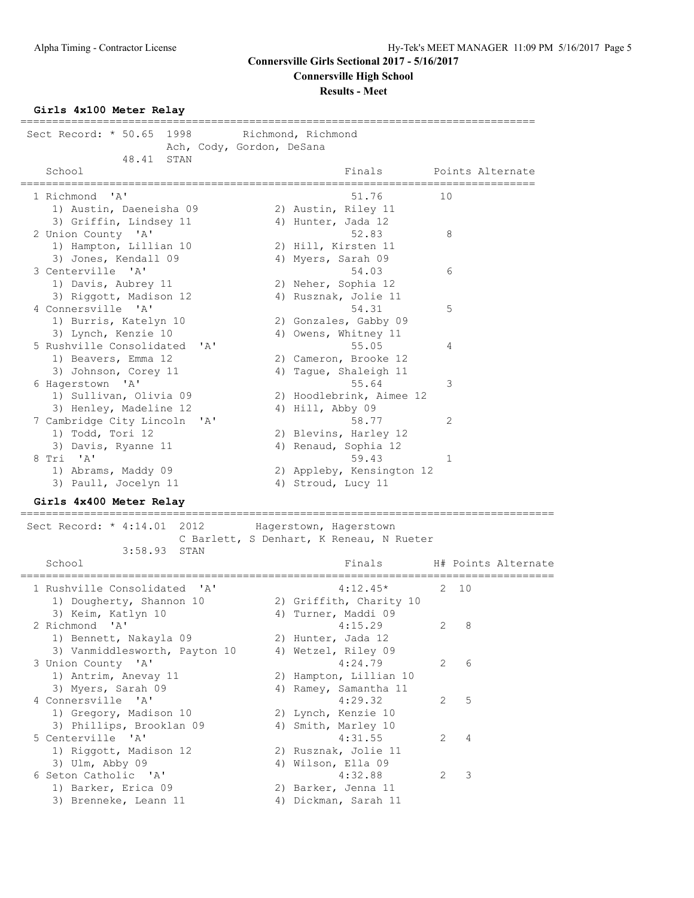#### **Girls 4x100 Meter Relay**

================================================================================= Sect Record: \* 50.65 1998 Richmond, Richmond Ach, Cody, Gordon, DeSana 48.41 STAN School **Finals** Points Alternate ================================================================================= 1 Richmond 'A' 51.76 10 1) Austin, Daeneisha 09 2) Austin, Riley 11 3) Griffin, Lindsey 11 (4) Hunter, Jada 12 2 Union County 'A' 52.83 8 1) Hampton, Lillian 10 2) Hill, Kirsten 11 3) Jones, Kendall 09 4) Myers, Sarah 09 3 Centerville 'A' 54.03 6 1) Davis, Aubrey 11 2) Neher, Sophia 12 3) Riggott, Madison 12 (4) Rusznak, Jolie 11 4 Connersville 'A' 54.31 5 1) Burris, Katelyn 10 2) Gonzales, Gabby 09 3) Lynch, Kenzie 10 4) Owens, Whitney 11 5 Rushville Consolidated 'A' 55.05 4 1) Beavers, Emma 12 2) Cameron, Brooke 12 3) Johnson, Corey 11 4) Tague, Shaleigh 11 6 Hagerstown 'A' 55.64 3 1) Sullivan, Olivia 09 2) Hoodlebrink, Aimee 12 3) Henley, Madeline 12 (4) Hill, Abby 09 7 Cambridge City Lincoln 'A' 58.77 2 1) Todd, Tori 12 2) Blevins, Harley 12 3) Davis, Ryanne 11 (4) Aenaud, Sophia 12 8 Tri 'A' 59.43 1 1) Abrams, Maddy 09 2) Appleby, Kensington 12 3) Paull, Jocelyn 11 4) Stroud, Lucy 11 **Girls 4x400 Meter Relay** ==================================================================================== Sect Record: \* 4:14.01 2012 Hagerstown, Hagerstown C Barlett, S Denhart, K Reneau, N Rueter 3:58.93 STAN<br>School Finals H# Points Alternate ==================================================================================== 1 Rushville Consolidated 'A' 4:12.45\* 2 10 1) Dougherty, Shannon 10 2) Griffith, Charity 10 3) Keim, Katlyn 10 10 10 4) Turner, Maddi 09 2 Richmond 'A' 4:15.29 2 8 1) Hunter, Maddr 05<br>
Richmond 'A' 4:15.29 2 8<br>
1) Bennett, Nakayla 09 2) Hunter, Jada 12<br>
3) Vanmiddlesworth, Payton 10 4) Wetzel, Riley 09<br>
Union County 'A' 4:24.79 2 6 3) Vanmiddlesworth, Payton 10 4) Wetzel, Riley 09 3 Union County 'A' 4:24.79 2 6 1) Antrim, Anevay 11 2) Hampton, Lillian 10 3) Myers, Sarah 09 4) Ramey, Samantha 11 4 Connersville 'A' 4:29.32 2 5 1) Gregory, Madison 10 2) Lynch, Kenzie 10 3) Phillips, Brooklan 09 (4) Smith, Marley 10 5 Centerville 'A' 4:31.55 2 4 1) Riggott, Madison 12 12 2) Rusznak, Jolie 11 3) Ulm, Abby 09 4) Wilson, Ella 09 6 Seton Catholic 'A' 4:32.88 2 3 1) Barker, Erica 09 120 20 Barker, Jenna 11 3) Brenneke, Leann 11 1988 (4) Dickman, Sarah 11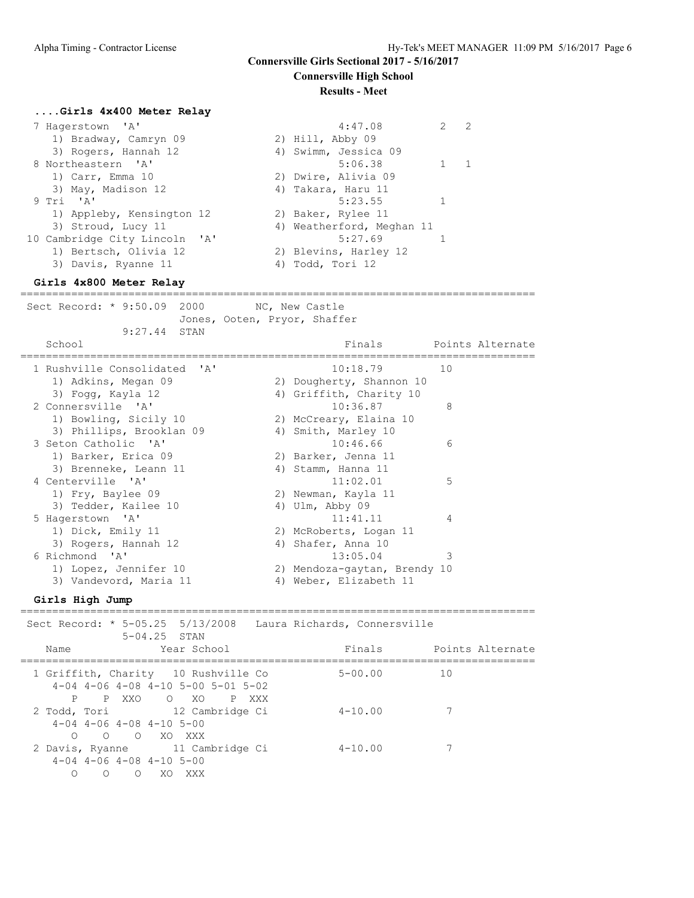#### **Results - Meet**

#### **....Girls 4x400 Meter Relay**

| 7 Hagerstown 'A'              |  | 4:47.08                   | $\mathcal{L}$ | -2 |
|-------------------------------|--|---------------------------|---------------|----|
| 1) Bradway, Camryn 09         |  | 2) Hill, Abby 09          |               |    |
| 3) Rogers, Hannah 12          |  | 4) Swimm, Jessica 09      |               |    |
| 8 Northeastern 'A'            |  | 5:06.38                   |               |    |
| 1) Carr, Emma 10              |  | 2) Dwire, Alivia 09       |               |    |
| 3) May, Madison 12            |  | 4) Takara, Haru 11        |               |    |
| 9 Tri 'A'                     |  | 5:23.55                   |               |    |
| 1) Appleby, Kensington 12     |  | 2) Baker, Rylee 11        |               |    |
| 3) Stroud, Lucy 11            |  | 4) Weatherford, Meghan 11 |               |    |
| 10 Cambridge City Lincoln 'A' |  | 5:27.69                   |               |    |
| 1) Bertsch, Olivia 12         |  | 2) Blevins, Harley 12     |               |    |
| 3) Davis, Ryanne 11           |  | 4) Todd, Tori 12          |               |    |

#### **Girls 4x800 Meter Relay**

================================================================================= Sect Record: \* 9:50.09 2000 NC, New Castle Jones, Ooten, Pryor, Shaffer 9:27.44 STAN School School **Finals** Points Alternate ================================================================================= 1 Rushville Consolidated 'A' 10:18.79 10 1) Adkins, Megan 09 2) Dougherty, Shannon 10 3) Fogg, Kayla 12 4) Griffith, Charity 10 2 Connersville 'A' 10:36.87 8 1) Bowling, Sicily 10 2) McCreary, Elaina 10

| 3) Phillips, Brooklan 09 | 4) Smith, Marley 10          |   |
|--------------------------|------------------------------|---|
| 3 Seton Catholic 'A'     | 10:46.66                     | 6 |
| 1) Barker, Erica 09      | 2) Barker, Jenna 11          |   |
| 3) Brenneke, Leann 11    | 4) Stamm, Hanna 11           |   |
| 4 Centerville 'A'        | 11:02.01                     | 5 |
| 1) Fry, Baylee 09        | 2) Newman, Kayla 11          |   |
| 3) Tedder, Kailee 10     | 4) Ulm, $\lambda$ bby 09     |   |
| 5 Hagerstown 'A'         | 11:41.11                     | 4 |
| 1) Dick, Emily 11        | 2) McRoberts, Logan 11       |   |
| 3) Rogers, Hannah 12     | 4) Shafer, Anna 10           |   |
| 6 Richmond 'A'           | 13:05.04                     | 3 |
| 1) Lopez, Jennifer 10    | 2) Mendoza-gaytan, Brendy 10 |   |
| 3) Vandevord, Maria 11   | 4) Weber, Elizabeth 11       |   |
|                          |                              |   |

#### **Girls High Jump**

|                          | Sect Record: * 5-05.25 5/13/2008 Laura Richards, Connersville<br>$5 - 04.25$ STAN                     |             |                  |
|--------------------------|-------------------------------------------------------------------------------------------------------|-------------|------------------|
| Name                     | Year School                                                                                           | Finals      | Points Alternate |
| P P XXO                  | 1 Griffith, Charity 10 Rushville Co<br>$4-04$ $4-06$ $4-08$ $4-10$ $5-00$ $5-01$ $5-02$<br>O XO P XXX | $5 - 00.00$ | $\overline{10}$  |
| $\bigcap$                | 2 Todd, Tori 12 Cambridge Ci<br>$4-04$ $4-06$ $4-08$ $4-10$ $5-00$<br>O O XO XXX                      | $4 - 10.00$ |                  |
| $\bigcirc$<br>$\bigcirc$ | 2 Davis, Ryanne 11 Cambridge Ci<br>$4-04$ $4-06$ $4-08$ $4-10$ $5-00$<br>XXX<br>$\circ$<br>XO.        | $4 - 10.00$ |                  |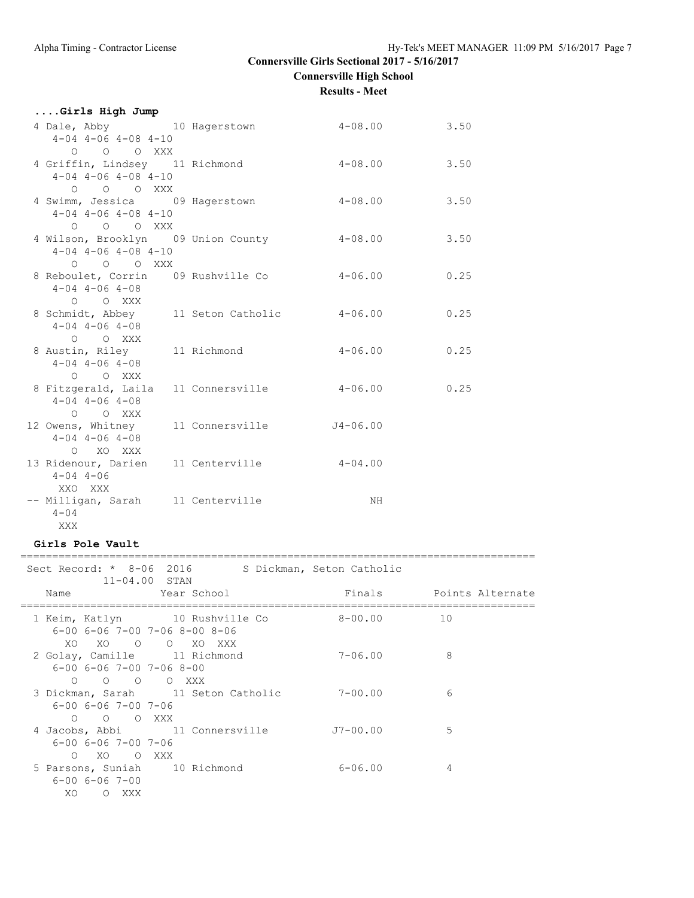| Girls High Jump                                 |                                             |                     |      |
|-------------------------------------------------|---------------------------------------------|---------------------|------|
| 4 Dale, Abby 10 Hagerstown                      |                                             | $4-08.00$ 3.50      |      |
| $4-04$ $4-06$ $4-08$ $4-10$                     |                                             |                     |      |
| O O O XXX                                       |                                             |                     |      |
|                                                 | 4 Griffin, Lindsey 11 Richmond 4-08.00 3.50 |                     |      |
| $4-04$ $4-06$ $4-08$ $4-10$                     |                                             |                     |      |
| O O O XXX                                       |                                             |                     |      |
|                                                 | 4 Swimm, Jessica 09 Hagerstown 4-08.00      |                     | 3.50 |
| $4-04$ $4-06$ $4-08$ $4-10$                     |                                             |                     |      |
| O O O XXX<br>4 Wilson, Brooklyn 09 Union County |                                             | $4 - 08.00$         | 3.50 |
| $4-04$ $4-06$ $4-08$ $4-10$                     |                                             |                     |      |
| $O$ $O$ $O$ $XXX$                               |                                             |                     |      |
| 8 Reboulet, Corrin 09 Rushville Co              |                                             | $4 - 06.00$<br>0.25 |      |
| $4 - 04$ $4 - 06$ $4 - 08$                      |                                             |                     |      |
| O O XXX                                         |                                             |                     |      |
|                                                 | 8 Schmidt, Abbey 11 Seton Catholic 4-06.00  | 0.25                |      |
| $4 - 04$ $4 - 06$ $4 - 08$                      |                                             |                     |      |
| O O XXX                                         |                                             |                     |      |
|                                                 | 8 Austin, Riley 11 Richmond 4-06.00 0.25    |                     |      |
| $4 - 04$ $4 - 06$ $4 - 08$                      |                                             |                     |      |
| O O XXX                                         |                                             |                     |      |
| 8 Fitzgerald, Laila 11 Connersville             |                                             | $4 - 06.00$         | 0.25 |
| $4 - 04$ $4 - 06$ $4 - 08$                      |                                             |                     |      |
| O O XXX                                         | 12 Owens, Whitney 11 Connersville 54-06.00  |                     |      |
| $4 - 04$ $4 - 06$ $4 - 08$                      |                                             |                     |      |
| O XO XXX                                        |                                             |                     |      |
| 13 Ridenour, Darien 11 Centerville              |                                             | $4 - 04.00$         |      |
| $4 - 04$ $4 - 06$                               |                                             |                     |      |
| XXO XXX                                         |                                             |                     |      |
| -- Milligan, Sarah 11 Centerville               |                                             | NH                  |      |
| $4 - 04$                                        |                                             |                     |      |
| XXX                                             |                                             |                     |      |

#### **Girls Pole Vault**

| Sect Record: * 8-06 2016<br>$11 - 04.00$ STAN                                                                                 | S Dickman, Seton Catholic |                         |
|-------------------------------------------------------------------------------------------------------------------------------|---------------------------|-------------------------|
| Year School<br>Name                                                                                                           |                           | Finals Points Alternate |
| 1 Keim, Katlyn 10 Rushville Co<br>$6 - 00$ $6 - 06$ $7 - 00$ $7 - 06$ $8 - 00$ $8 - 06$                                       | $8 - 00.00$               | 10                      |
| XO XO<br>O O XO XXX<br>2 Golay, Camille 11 Richmond<br>$6 - 00$ $6 - 06$ $7 - 00$ $7 - 06$ $8 - 00$                           | $7 - 06.00$               | 8                       |
| O O O XXX<br>$\bigcirc$<br>3 Dickman, Sarah 11 Seton Catholic<br>$6 - 00$ $6 - 06$ $7 - 00$ $7 - 06$<br>O O XXX<br>$\bigcirc$ | $7 - 00.00$               | 6                       |
| 4 Jacobs, Abbi 11 Connersville<br>$6 - 00$ $6 - 06$ $7 - 00$ $7 - 06$<br>$\bigcap$<br>XO X<br>O XXX                           | $J7-00.00$                | 5                       |
| 5 Parsons, Suniah 10 Richmond<br>$6 - 00$ $6 - 06$ $7 - 00$<br>XO.<br>O XXX                                                   | $6 - 06.00$               | 4                       |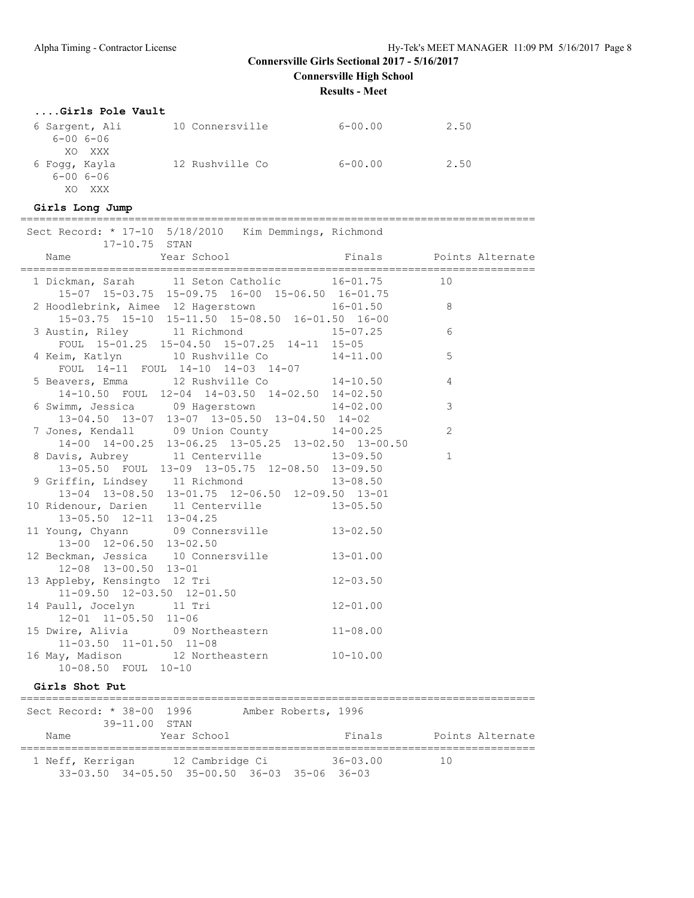**Results - Meet**

#### **....Girls Pole Vault**

| 6 Sargent, Ali<br>$6 - 006 - 06$          | 10 Connersville | $6 - 00.00$ | 2.50 |
|-------------------------------------------|-----------------|-------------|------|
| XO XXX<br>6 Foqq, Kayla<br>$6 - 006 - 06$ | 12 Rushville Co | $6 - 00.00$ | 2.50 |
| XΟ<br>XXX                                 |                 |             |      |

#### **Girls Long Jump**

================================================================================= Sect Record: \* 17-10 5/18/2010 Kim Demmings, Richmond

| Sect Record: * 1/-10 5/18/2010 Kim Demmings, Richmond<br>17-10.75 STAN                                                                                   |                |
|----------------------------------------------------------------------------------------------------------------------------------------------------------|----------------|
| Year School <a> Finals <a> Points Alternate<br/>Name</a></a>                                                                                             |                |
| 1 Dickman, Sarah 11 Seton Catholic 16-01.75 10<br>15-07 15-03.75 15-09.75 16-00 15-06.50 16-01.75                                                        |                |
| 2 Hoodlebrink, Aimee 12 Hagerstown 16-01.50<br>15-03.75 15-10 15-11.50 15-08.50 16-01.50 16-00                                                           | 8              |
| 3 Austin, Riley 11 Richmond 15-07.25<br>FOUL 15-01.25 15-04.50 15-07.25 14-11 15-05                                                                      | 6              |
| 4 Keim, Katlyn 10 Rushville Co 14-11.00<br>FOUL 14-11 FOUL 14-10 14-03 14-07                                                                             | 5              |
| 5 Beavers, Emma 12 Rushville Co 14-10.50<br>14-10.50 FOUL 12-04 14-03.50 14-02.50 14-02.50                                                               | $\overline{4}$ |
| 6 Swimm, Jessica 09 Hagerstown 14-02.00<br>$13-04.50$ $13-07$ $13-07$ $13-05.50$ $13-04.50$ $14-02$                                                      | 3              |
| 7 Jones, Kendall 09 Union County 14-00.25<br>14-00 14-00.25 13-06.25 13-05.25 13-02.50 13-00.50                                                          | 2              |
| 8 Davis, Aubrey 11 Centerville 13-09.50<br>13-05.50 FOUL 13-09 13-05.75 12-08.50 13-09.50                                                                | $\mathbf{1}$   |
| 9 Griffin, Lindsey 11 Richmond 13-08.50<br>13-04 13-08.50 13-01.75 12-06.50 12-09.50 13-01                                                               |                |
| 10 Ridenour, Darien 11 Centerville 13-05.50<br>13-05.50 12-11 13-04.25                                                                                   |                |
| 11 Young, Chyann 09 Connersville 13-02.50<br>13-00 12-06.50 13-02.50                                                                                     |                |
| 12 Beckman, Jessica 10 Connersville 13-01.00<br>12-08 13-00.50 13-01                                                                                     |                |
| $12 - 08$ $13 - 00.50$ $15 - 01$<br>13 Appleby, Kensingto 12 Tri $12 - 03.50$<br>11-09.50 12-03.50 12-01.50<br>uull, Jocelyn 11 Tri 12-01.00<br>12-01.00 |                |
| 14 Paull, Jocelyn 11 Tri<br>12-01 11-05.50 11-06                                                                                                         |                |
| 15 Dwire, Alivia 09 Northeastern 11-08.00<br>$11-03.50$ $11-01.50$ $11-08$                                                                               |                |
| 16 May, Madison 12 Northeastern 10-10.00<br>10-08.50 FOUL 10-10                                                                                          |                |

#### **Girls Shot Put**

| Sect Record: * 38-00 1996<br>39-11.00 STAN |                                                                                              | Amber Roberts, 1996 |                  |
|--------------------------------------------|----------------------------------------------------------------------------------------------|---------------------|------------------|
| Name                                       | Year School                                                                                  | Finals              | Points Alternate |
|                                            | 1 Neff, Kerrigan 12 Cambridge Ci<br>$33-03.50$ $34-05.50$ $35-00.50$ $36-03$ $35-06$ $36-03$ | $36 - 03.00$        | 10               |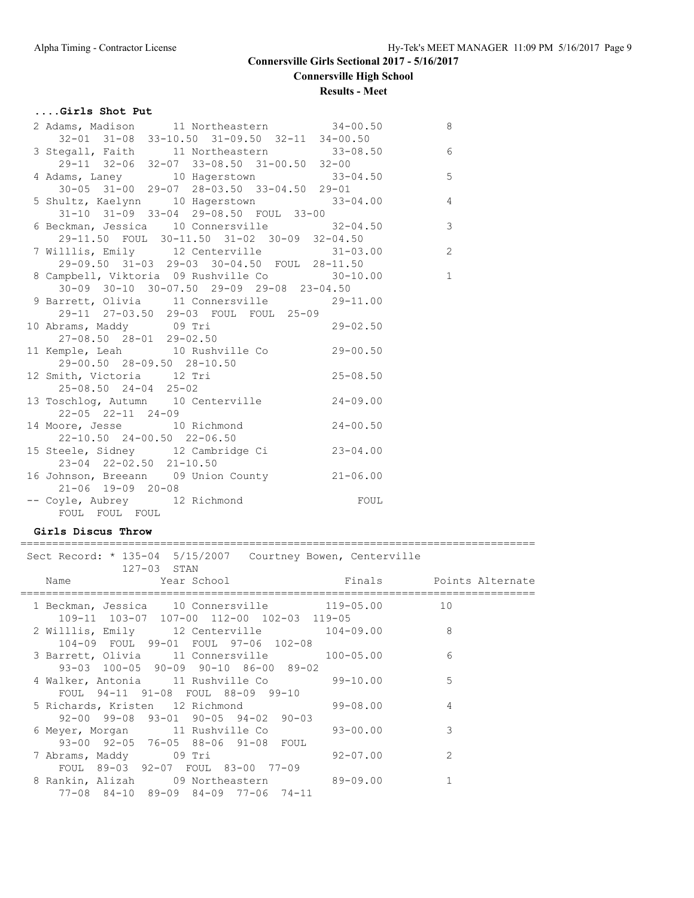#### **....Girls Shot Put**

| 2 Adams, Madison 11 Northeastern 34-00.50                                                                                                                                           | $\overline{\phantom{0}}$ |
|-------------------------------------------------------------------------------------------------------------------------------------------------------------------------------------|--------------------------|
| 32-01 31-08 33-10.50 31-09.50 32-11 34-00.50<br>3 Stegall, Faith 11 Northeastern 33-08.50 6<br>29-11 32-06 32-07 33-08.50 31-00.50 32-00<br>4 Adams, Laney 10 Hagerstown 33-04.50 5 |                          |
|                                                                                                                                                                                     |                          |
|                                                                                                                                                                                     |                          |
|                                                                                                                                                                                     |                          |
| 30-05 31-00 29-07 28-03.50 33-04.50 29-01<br>5 Shultz, Kaelynn 10 Hagerstown 33-04.00 4                                                                                             |                          |
|                                                                                                                                                                                     |                          |
| 31-10 31-09 33-04 29-08.50 FOUL 33-00                                                                                                                                               |                          |
| $\frac{1}{2}$ beckman, Jessica 10 Connersville $\frac{32-04.50}{2}$ 3                                                                                                               |                          |
| 29-11.50 FOUL 30-11.50 31-02 30-09 32-04.50                                                                                                                                         |                          |
| 7 Willlis, Emily 12 Centerville 31-03.00                                                                                                                                            | $\overline{c}$           |
| 29-09.50 31-03 29-03 30-04.50 FOUL 28-11.50                                                                                                                                         |                          |
| 8 Campbell, Viktoria 09 Rushville Co 30-10.00 1                                                                                                                                     |                          |
| 30-09 30-10 30-07.50 29-09 29-08 23-04.50                                                                                                                                           |                          |
| 9 Barrett, Olivia 11 Connersville 29-11.00                                                                                                                                          |                          |
| 29-11 27-03.50 29-03 FOUL FOUL 25-09                                                                                                                                                |                          |
|                                                                                                                                                                                     |                          |
| 10 Abrams, Maddy 09 Tri 29-02.50<br>27-08.50 28-01 29-02.50                                                                                                                         |                          |
| 11 Kemple, Leah 10 Rushville Co 29-00.50                                                                                                                                            |                          |
| 29-00.50 28-09.50 28-10.50<br>12 Smith, Victoria 12 Tri 25-08.50                                                                                                                    |                          |
|                                                                                                                                                                                     |                          |
| 25-08.50 24-04 25-02                                                                                                                                                                |                          |
| 13 Toschlog, Autumn 10 Centerville 24-09.00                                                                                                                                         |                          |
| 22-05 22-11 24-09                                                                                                                                                                   |                          |
| 14 Moore, Jesse 10 Richmond 24-00.50                                                                                                                                                |                          |
| 22-10.50 24-00.50 22-06.50                                                                                                                                                          |                          |
| 15 Steele, Sidney 12 Cambridge Ci 23-04.00                                                                                                                                          |                          |
| 23-04 22-02.50 21-10.50                                                                                                                                                             |                          |
| 16 Johnson, Breeann 09 Union County 21-06.00                                                                                                                                        |                          |
| 21-06 19-09 20-08                                                                                                                                                                   |                          |
| -- Coyle, Aubrey 12 Richmond FOUL                                                                                                                                                   |                          |
| FOUL FOUL FOUL                                                                                                                                                                      |                          |
|                                                                                                                                                                                     |                          |

#### **Girls Discus Throw**

================================================================================= Sect Record: \* 135-04 5/15/2007 Courtney Bowen, Centerville

| $127-03$ STAN                                   |              |                         |
|-------------------------------------------------|--------------|-------------------------|
| Year School لا Year School<br>Name              |              | Finals Points Alternate |
|                                                 |              |                         |
| 1 Beckman, Jessica 10 Connersville 119-05.00    |              | 10                      |
| 109-11 103-07 107-00 112-00 102-03 119-05       |              |                         |
| 2 Willlis, Emily 12 Centerville 104-09.00       |              | 8                       |
| 104-09 FOUL 99-01 FOUL 97-06 102-08             |              |                         |
| 3 Barrett, Olivia 11 Connersville 100-05.00     |              | 6                       |
| 93-03 100-05 90-09 90-10 86-00 89-02            |              |                         |
| 4 Walker, Antonia 11 Rushville Co 39-10.00      |              | 5                       |
| FOUL 94-11 91-08 FOUL 88-09 99-10               |              |                         |
| 5 Richards, Kristen 12 Richmond 99-08.00        |              | 4                       |
| $92-00$ $99-08$ $93-01$ $90-05$ $94-02$ $90-03$ |              |                         |
| 6 Meyer, Morgan 11 Rushville Co 93-00.00        |              | 3                       |
| 93-00 92-05 76-05 88-06 91-08 FOUL              |              |                         |
| 7 Abrams, Maddy 09 Tri                          | $92 - 07.00$ | $\mathcal{L}$           |
| FOUL 89-03 92-07 FOUL 83-00 77-09               |              |                         |
| 8 Rankin, Alizah 09 Northeastern 89-09.00       |              |                         |
| 77-08 84-10 89-09 84-09 77-06 74-11             |              |                         |